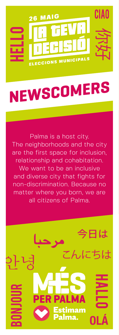

## **NEWSCOMERS**

Palma is a host city. The neighborhoods and the city are the first space for inclusion, relationship and cohabitation. We want to be an inclusive and diverse city that fights for non-discrimination. Because no matter where you born, we are all citizens of Palma.

今日は

こんにちは